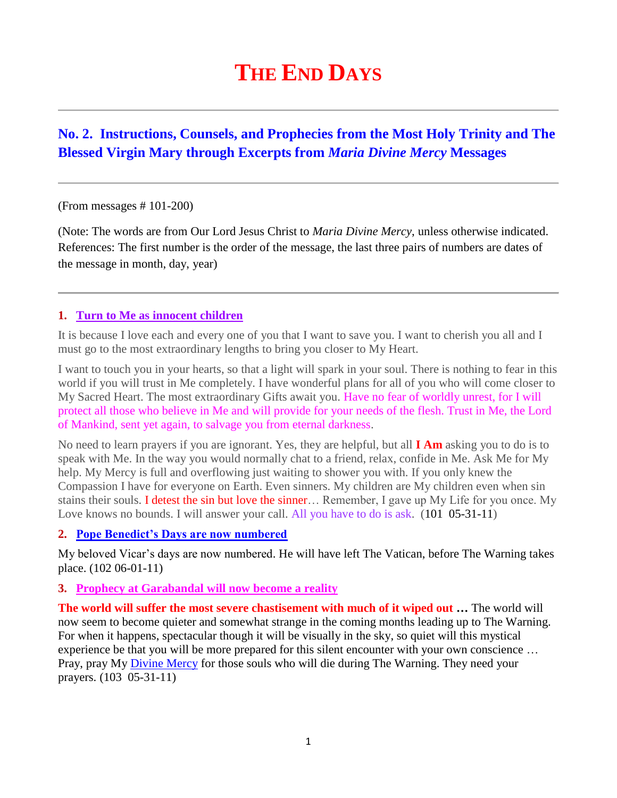# **THE END DAYS**

# **No. 2. Instructions, Counsels, and Prophecies from the Most Holy Trinity and The Blessed Virgin Mary through Excerpts from** *Maria Divine Mercy* **Messages**

(From messages # 101-200)

(Note: The words are from Our Lord Jesus Christ to *Maria Divine Mercy*, unless otherwise indicated. References: The first number is the order of the message, the last three pairs of numbers are dates of the message in month, day, year)

#### **1. Turn to Me as innocent children**

It is because I love each and every one of you that I want to save you. I want to cherish you all and I must go to the most extraordinary lengths to bring you closer to My Heart.

I want to touch you in your hearts, so that a light will spark in your soul. There is nothing to fear in this world if you will trust in Me completely. I have wonderful plans for all of you who will come closer to My Sacred Heart. The most extraordinary Gifts await you. Have no fear of worldly unrest, for I will protect all those who believe in Me and will provide for your needs of the flesh. Trust in Me, the Lord of Mankind, sent yet again, to salvage you from eternal darkness.

No need to learn prayers if you are ignorant. Yes, they are helpful, but all **I Am** asking you to do is to speak with Me. In the way you would normally chat to a friend, relax, confide in Me. Ask Me for My help. My Mercy is full and overflowing just waiting to shower you with. If you only knew the Compassion I have for everyone on Earth. Even sinners. My children are My children even when sin stains their souls. I detest the sin but love the sinner… Remember, I gave up My Life for you once. My Love knows no bounds. I will answer your call. All you have to do is ask. (101 05-31-11)

#### **2. [Pope Benedict's Days are now numbered](http://www.thewarningsecondcoming.com/pope-benedicts-day-are-now-numbered/)**

My beloved Vicar's days are now numbered. He will have left The Vatican, before The Warning takes place. (102 06-01-11)

#### **3. Prophecy at Garabandal [will now become a reality](http://www.thewarningsecondcoming.com/prophecy-at-garabandal-will-now-become-a-reality/)**

**The world will suffer the most severe chastisement with much of it wiped out …** The world will now seem to become quieter and somewhat strange in the coming months leading up to The Warning. For when it happens, spectacular though it will be visually in the sky, so quiet will this mystical experience be that you will be more prepared for this silent encounter with your own conscience … Pray, pray My [Divine](http://www.thewarningsecondcoming.com/divine-mercy-chaplet/) Mercy for those souls who will die during The Warning. They need your prayers. (103 05-31-11)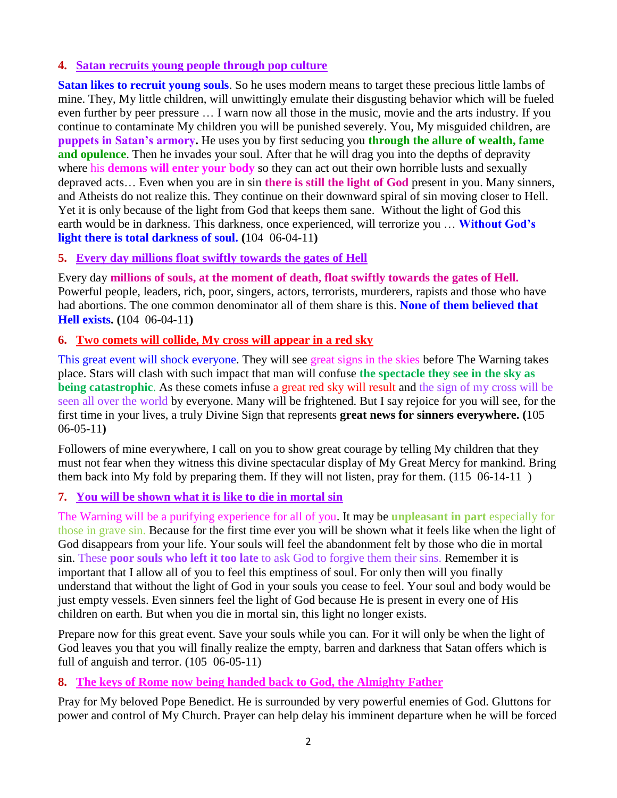#### **4. [Satan recruits young people through pop culture](http://www.thewarningsecondcoming.com/satan-recruits-young-people-through-pop-culture/)**

**Satan likes to recruit young souls**. So he uses modern means to target these precious little lambs of mine. They, My little children, will unwittingly emulate their disgusting behavior which will be fueled even further by peer pressure … I warn now all those in the music, movie and the arts industry. If you continue to contaminate My children you will be punished severely. You, My misguided children, are **puppets in Satan's armory.** He uses you by first seducing you **through the allure of wealth, fame and opulence**. Then he invades your soul. After that he will drag you into the depths of depravity where his **demons will enter your body** so they can act out their own horrible lusts and sexually depraved acts… Even when you are in sin **there is still the light of God** present in you. Many sinners, and Atheists do not realize this. They continue on their downward spiral of sin moving closer to Hell. Yet it is only because of the light from God that keeps them sane. Without the light of God this earth would be in darkness. This darkness, once experienced, will terrorize you … **Without God's light there is total darkness of soul. (**104 06-04-11**)**

## **5. Every day millions float swiftly towards the gates of Hell**

Every day **millions of souls, at the moment of death, float swiftly towards the gates of Hell.** Powerful people, leaders, rich, poor, singers, actors, terrorists, murderers, rapists and those who have had abortions. The one common denominator all of them share is this. **None of them believed that Hell exists. (**104 06-04-11**)**

## **6. [Two comets will collide, My cross will appear in a red sky](http://www.thewarningsecondcoming.com/two-comets-will-collide-my-cross-will-appear-in-a-red-sky/)**

This great event will shock everyone. They will see great signs in the skies before The Warning takes place. Stars will clash with such impact that man will confuse **the spectacle they see in the sky as being catastrophic**. As these comets infuse a great red sky will result and the sign of my cross will be seen all over the world by everyone. Many will be frightened. But I say rejoice for you will see, for the first time in your lives, a truly Divine Sign that represents **great news for sinners everywhere. (**105 06-05-11**)**

Followers of mine everywhere, I call on you to show great courage by telling My children that they must not fear when they witness this divine spectacular display of My Great Mercy for mankind. Bring them back into My fold by preparing them. If they will not listen, pray for them. (115 06-14-11 )

# **7. You will be shown what it is like to die in mortal sin**

The Warning will be a purifying experience for all of you. It may be **unpleasant in part** especially for those in grave sin. Because for the first time ever you will be shown what it feels like when the light of God disappears from your life. Your souls will feel the abandonment felt by those who die in mortal sin. These **poor souls who left it too late** to ask God to forgive them their sins. Remember it is important that I allow all of you to feel this emptiness of soul. For only then will you finally understand that without the light of God in your souls you cease to feel. Your soul and body would be just empty vessels. Even sinners feel the light of God because He is present in every one of His children on earth. But when you die in mortal sin, this light no longer exists.

Prepare now for this great event. Save your souls while you can. For it will only be when the light of God leaves you that you will finally realize the empty, barren and darkness that Satan offers which is full of anguish and terror. (105 06-05-11)

#### **8. [The keys of Rome now being handed back to God, the Almighty Father](http://www.thewarningsecondcoming.com/the-keys-of-rome-now-being-handed-back-to-god-the-almighty-father/)**

Pray for My beloved Pope Benedict. He is surrounded by very powerful enemies of God. Gluttons for power and control of My Church. Prayer can help delay his imminent departure when he will be forced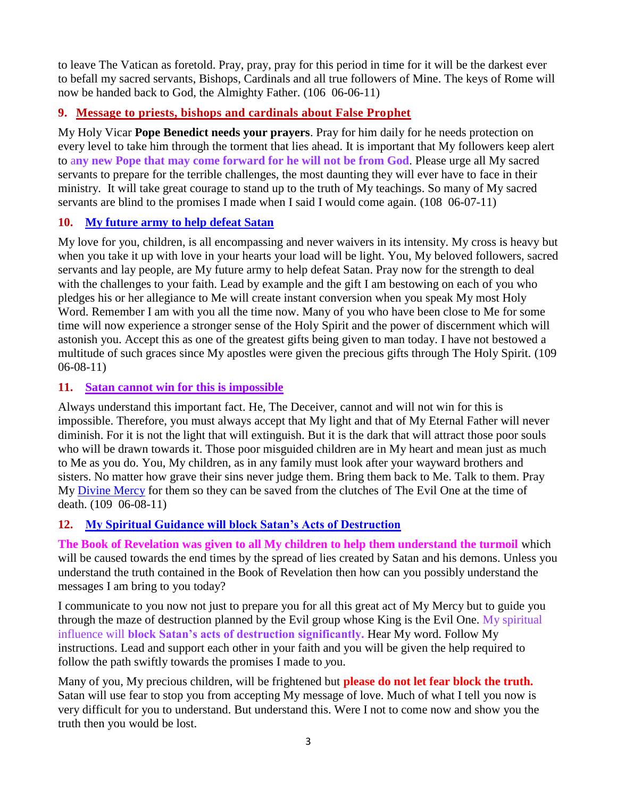to leave The Vatican as foretold. Pray, pray, pray for this period in time for it will be the darkest ever to befall my sacred servants, Bishops, Cardinals and all true followers of Mine. The keys of Rome will now be handed back to God, the Almighty Father. (106 06-06-11)

# **9. [Message to priests, bishops and cardinals about False Prophet](http://www.thewarningsecondcoming.com/message-to-priests-bishops-and-cardinals-about-false-prophet/)**

My Holy Vicar **Pope Benedict needs your prayers**. Pray for him daily for he needs protection on every level to take him through the torment that lies ahead. It is important that My followers keep alert to a**ny new Pope that may come forward for he will not be from God**. Please urge all My sacred servants to prepare for the terrible challenges, the most daunting they will ever have to face in their ministry. It will take great courage to stand up to the truth of My teachings. So many of My sacred servants are blind to the promises I made when I said I would come again. (108 06-07-11)

## **10. My future army to help defeat Satan**

My love for you, children, is all encompassing and never waivers in its intensity. My cross is heavy but when you take it up with love in your hearts your load will be light. You, My beloved followers, sacred servants and lay people, are My future army to help defeat Satan. Pray now for the strength to deal with the challenges to your faith. Lead by example and the gift I am bestowing on each of you who pledges his or her allegiance to Me will create instant conversion when you speak My most Holy Word. Remember I am with you all the time now. Many of you who have been close to Me for some time will now experience a stronger sense of the Holy Spirit and the power of discernment which will astonish you. Accept this as one of the greatest gifts being given to man today. I have not bestowed a multitude of such graces since My apostles were given the precious gifts through The Holy Spirit. (109 06-08-11)

## **11. Satan cannot win for this is impossible**

Always understand this important fact. He, The Deceiver, cannot and will not win for this is impossible. Therefore, you must always accept that My light and that of My Eternal Father will never diminish. For it is not the light that will extinguish. But it is the dark that will attract those poor souls who will be drawn towards it. Those poor misguided children are in My heart and mean just as much to Me as you do. You, My children, as in any family must look after your wayward brothers and sisters. No matter how grave their sins never judge them. Bring them back to Me. Talk to them. Pray My [Divine Mercy](http://www.thewarningsecondcoming.com/divine-mercy-chaplet/) for them so they can be saved from the clutches of The Evil One at the time of death. (109 06-08-11)

# **12. [My Spiritual Guidance will block Satan's Acts of Destruction](http://www.thewarningsecondcoming.com/my-spiritual-guidance-will-block-satans-acts-of-destruction/)**

**The Book of Revelation was given to all My children to help them understand the turmoil** which will be caused towards the end times by the spread of lies created by Satan and his demons. Unless you understand the truth contained in the Book of Revelation then how can you possibly understand the messages I am bring to you today?

I communicate to you now not just to prepare you for all this great act of My Mercy but to guide you through the maze of destruction planned by the Evil group whose King is the Evil One. My spiritual influence will **block Satan's acts of destruction significantly.** Hear My word. Follow My instructions. Lead and support each other in your faith and you will be given the help required to follow the path swiftly towards the promises I made to *y*ou.

Many of you, My precious children, will be frightened but **please do not let fear block the truth.**  Satan will use fear to stop you from accepting My message of love. Much of what I tell you now is very difficult for you to understand. But understand this. Were I not to come now and show you the truth then you would be lost.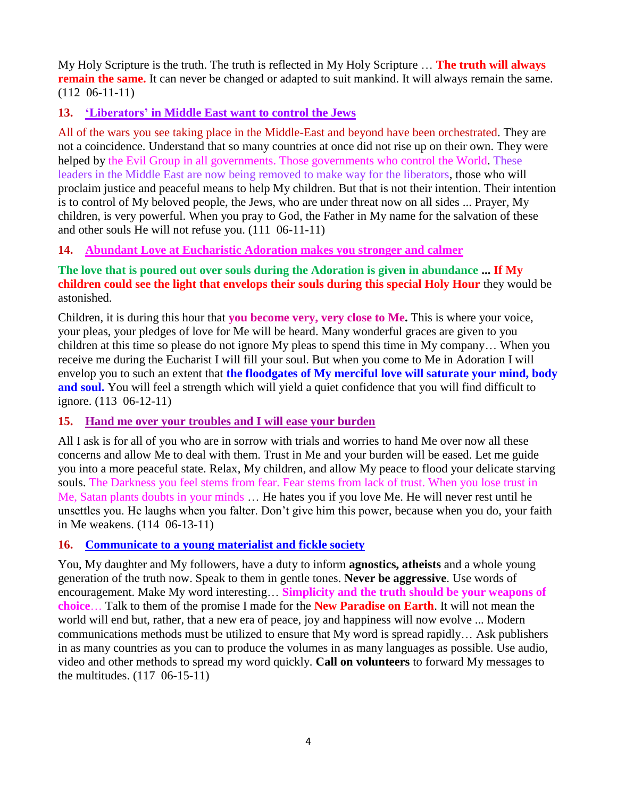My Holy Scripture is the truth. The truth is reflected in My Holy Scripture … **The truth will always remain the same.** It can never be changed or adapted to suit mankind. It will always remain the same. (112 06-11-11)

## **13. ['Liberators' in Middle East want to control the Jews](http://www.thewarningsecondcoming.com/liberators-in-middle-east-want-to-control-the-jews/)**

All of the wars you see taking place in the Middle-East and beyond have been orchestrated. They are not a coincidence. Understand that so many countries at once did not rise up on their own. They were helped by the Evil Group in all governments. Those governments who control the World. These leaders in the Middle East are now being removed to make way for the liberators, those who will proclaim justice and peaceful means to help My children. But that is not their intention. Their intention is to control of My beloved people, the Jews, who are under threat now on all sides ... Prayer, My children, is very powerful. When you pray to God, the Father in My name for the salvation of these and other souls He will not refuse you. (111 06-11-11)

## **14. [Abundant Love at Eucharistic Adoration makes you stronger and calmer](http://www.thewarningsecondcoming.com/abundant-love-at-adoration-makes-you-stronger-and-calmer/)**

**The love that is poured out over souls during the Adoration is given in abundance ... If My children could see the light that envelops their souls during this special Holy Hour** they would be astonished.

Children, it is during this hour that **you become very, very close to Me.** This is where your voice, your pleas, your pledges of love for Me will be heard. Many wonderful graces are given to you children at this time so please do not ignore My pleas to spend this time in My company… When you receive me during the Eucharist I will fill your soul. But when you come to Me in Adoration I will envelop you to such an extent that **the floodgates of My merciful love will saturate your mind, body**  and soul. You will feel a strength which will yield a quiet confidence that you will find difficult to ignore. (113 06-12-11)

#### **15. Hand me over [your troubles and I will ease your burden](http://www.thewarningsecondcoming.com/hand-me-over-your-troubles-and-i-will-ease-your-burden/)**

All I ask is for all of you who are in sorrow with trials and worries to hand Me over now all these concerns and allow Me to deal with them. Trust in Me and your burden will be eased. Let me guide you into a more peaceful state. Relax, My children, and allow My peace to flood your delicate starving souls. The Darkness you feel stems from fear. Fear stems from lack of trust. When you lose trust in Me, Satan plants doubts in your minds … He hates you if you love Me. He will never rest until he unsettles you. He laughs when you falter. Don't give him this power, because when you do, your faith in Me weakens. (114 06-13-11)

#### **16. Communicate to a young materialist and fickle society**

You, My daughter and My followers, have a duty to inform **agnostics, atheists** and a whole young generation of the truth now. Speak to them in gentle tones. **Never be aggressive**. Use words of encouragement. Make My word interesting… **Simplicity and the truth should be your weapons of choice**… Talk to them of the promise I made for the **New Paradise on Earth**. It will not mean the world will end but, rather, that a new era of peace, joy and happiness will now evolve ... Modern communications methods must be utilized to ensure that My word is spread rapidly… Ask publishers in as many countries as you can to produce the volumes in as many languages as possible. Use audio, video and other methods to spread my word quickly. **Call on volunteers** to forward My messages to the multitudes. (117 06-15-11)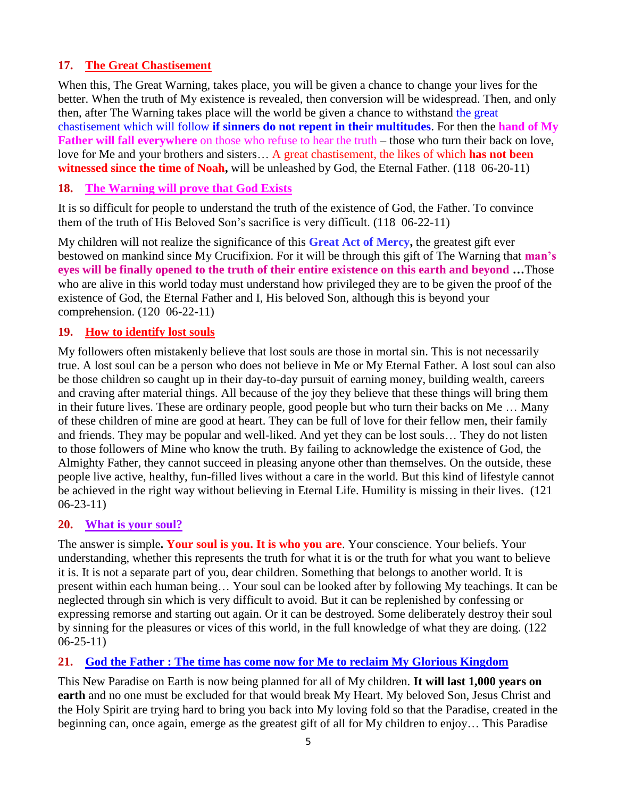# **17. The Great Chastisement**

When this, The Great Warning, takes place, you will be given a chance to change your lives for the better. When the truth of My existence is revealed, then conversion will be widespread. Then, and only then, after The Warning takes place will the world be given a chance to withstand the great chastisement which will follow **if sinners do not repent in their multitudes**. For then the **hand of My Father will fall everywhere** on those who refuse to hear the truth – those who turn their back on love, love for Me and your brothers and sisters… A great chastisement, the likes of which **has not been witnessed since the time of Noah,** will be unleashed by God, the Eternal Father. (118 06-20-11)

#### **18. [The Warning will prove that God Exists](http://www.thewarningsecondcoming.com/the-warning-will-prove-that-god-exists/)**

It is so difficult for people to understand the truth of the existence of God, the Father. To convince them of the truth of His Beloved Son's sacrifice is very difficult. (118 06-22-11)

My children will not realize the significance of this **Great Act of Mercy,** the greatest gift ever bestowed on mankind since My Crucifixion. For it will be through this gift of The Warning that **man's eyes will be finally opened to the truth of their entire existence on this earth and beyond …**Those who are alive in this world today must understand how privileged they are to be given the proof of the existence of God, the Eternal Father and I, His beloved Son, although this is beyond your comprehension. (120 06-22-11)

## **19. How to identify lost souls**

My followers often mistakenly believe that lost souls are those in mortal sin. This is not necessarily true. A lost soul can be a person who does not believe in Me or My Eternal Father. A lost soul can also be those children so caught up in their day-to-day pursuit of earning money, building wealth, careers and craving after material things. All because of the joy they believe that these things will bring them in their future lives. These are ordinary people, good people but who turn their backs on Me … Many of these children of mine are good at heart. They can be full of love for their fellow men, their family and friends. They may be popular and well-liked. And yet they can be lost souls… They do not listen to those followers of Mine who know the truth. By failing to acknowledge the existence of God, the Almighty Father, they cannot succeed in pleasing anyone other than themselves. On the outside, these people live active, healthy, fun-filled lives without a care in the world. But this kind of lifestyle cannot be achieved in the right way without believing in Eternal Life. Humility is missing in their lives. (121 06-23-11)

#### **20. What is your soul?**

The answer is simple**. Your soul is you. It is who you are**. Your conscience. Your beliefs. Your understanding, whether this represents the truth for what it is or the truth for what you want to believe it is. It is not a separate part of you, dear children. Something that belongs to another world. It is present within each human being… Your soul can be looked after by following My teachings. It can be neglected through sin which is very difficult to avoid. But it can be replenished by confessing or expressing remorse and starting out again. Or it can be destroyed. Some deliberately destroy their soul by sinning for the pleasures or vices of this world, in the full knowledge of what they are doing. (122 06-25-11)

# **21. God the Father : The time has come now for Me to reclaim My Glorious Kingdom**

This New Paradise on Earth is now being planned for all of My children. **It will last 1,000 years on earth** and no one must be excluded for that would break My Heart. My beloved Son, Jesus Christ and the Holy Spirit are trying hard to bring you back into My loving fold so that the Paradise, created in the beginning can, once again, emerge as the greatest gift of all for My children to enjoy… This Paradise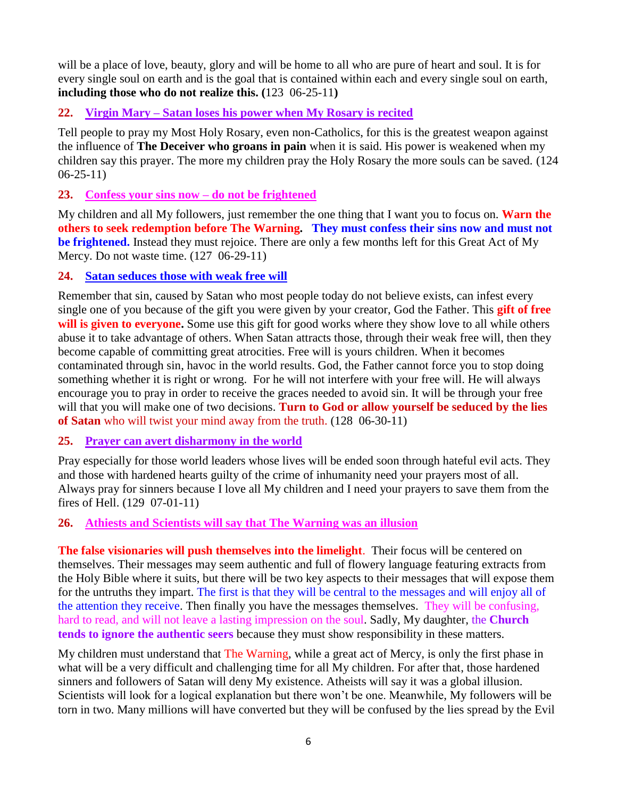will be a place of love, beauty, glory and will be home to all who are pure of heart and soul. It is for every single soul on earth and is the goal that is contained within each and every single soul on earth, **including those who do not realize this. (**123 06-25-11**)**

## **22. Virgin Mary – [Satan loses his power when My Rosary is recited](http://www.thewarningsecondcoming.com/virgin-mary-satan-loses-his-power-when-my-rosary-is-recited/)**

Tell people to pray my Most Holy Rosary, even non-Catholics, for this is the greatest weapon against the influence of **The Deceiver who groans in pain** when it is said. His power is weakened when my children say this prayer. The more my children pray the Holy Rosary the more souls can be saved. (124 06-25-11)

#### **23. [Confess your sins now –](http://www.thewarningsecondcoming.com/confess-your-sins-now-do-not-be-frightened/) do not be frightened**

My children and all My followers, just remember the one thing that I want you to focus on. **Warn the others to seek redemption before The Warning. They must confess their sins now and must not be frightened.** Instead they must rejoice. There are only a few months left for this Great Act of My Mercy. Do not waste time. (127 06-29-11)

## **24. Satan seduces those with weak free will**

Remember that sin, caused by Satan who most people today do not believe exists, can infest every single one of you because of the gift you were given by your creator, God the Father. This **gift of free will is given to everyone.** Some use this gift for good works where they show love to all while others abuse it to take advantage of others. When Satan attracts those, through their weak free will, then they become capable of committing great atrocities. Free will is yours children. When it becomes contaminated through sin, havoc in the world results. God, the Father cannot force you to stop doing something whether it is right or wrong. For he will not interfere with your free will. He will always encourage you to pray in order to receive the graces needed to avoid sin. It will be through your free will that you will make one of two decisions. **Turn to God or allow yourself be seduced by the lies of Satan** who will twist your mind away from the truth. (128 06-30-11)

#### **25. [Prayer can avert disharmony in the world](http://www.thewarningsecondcoming.com/prayer-can-avert-disharmony-in-the-world/)**

Pray especially for those world leaders whose lives will be ended soon through hateful evil acts. They and those with hardened hearts guilty of the crime of inhumanity need your prayers most of all. Always pray for sinners because I love all My children and I need your prayers to save them from the fires of Hell. (129 07-01-11)

#### **26. [Athiests and Scientists will say that The Warning was an illusion](http://www.thewarningsecondcoming.com/athiests-and-scientists-will-say-that-the-warning-was-an-illusion/)**

**The false visionaries will push themselves into the limelight**. Their focus will be centered on themselves. Their messages may seem authentic and full of flowery language featuring extracts from the Holy Bible where it suits, but there will be two key aspects to their messages that will expose them for the untruths they impart. The first is that they will be central to the messages and will enjoy all of the attention they receive. Then finally you have the messages themselves. They will be confusing, hard to read, and will not leave a lasting impression on the soul. Sadly, My daughter, the **Church tends to ignore the authentic seers** because they must show responsibility in these matters.

My children must understand that The Warning, while a great act of Mercy, is only the first phase in what will be a very difficult and challenging time for all My children. For after that, those hardened sinners and followers of Satan will deny My existence. Atheists will say it was a global illusion. Scientists will look for a logical explanation but there won't be one. Meanwhile, My followers will be torn in two. Many millions will have converted but they will be confused by the lies spread by the Evil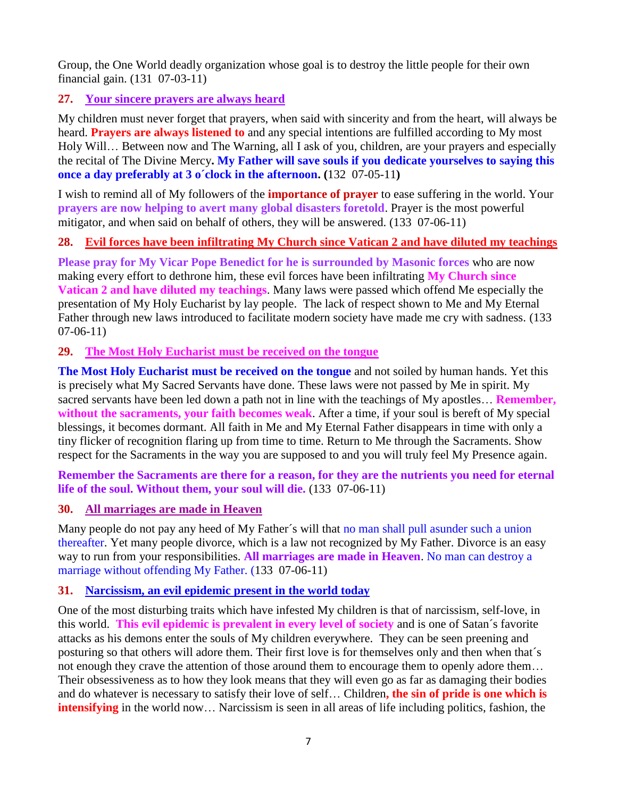Group, the One World deadly organization whose goal is to destroy the little people for their own financial gain. (131 07-03-11)

## **27. Your sincere prayers are always heard**

My children must never forget that prayers, when said with sincerity and from the heart, will always be heard. **Prayers are always listened to** and any special intentions are fulfilled according to My most Holy Will… Between now and The Warning, all I ask of you, children, are your prayers and especially the recital of The Divine Mercy**. My Father will save souls if you dedicate yourselves to saying this once a day preferably at 3 o´clock in the afternoon. (**132 07-05-11**)**

I wish to remind all of My followers of the **importance of prayer** to ease suffering in the world. Your **prayers are now helping to avert many global disasters foretold**. Prayer is the most powerful mitigator, and when said on behalf of others, they will be answered. (133 07-06-11)

## **28. Evil forces have been infiltrating My Church since Vatican 2 and have diluted my teachings**

**Please pray for My Vicar Pope Benedict for he is surrounded by Masonic forces** who are now making every effort to dethrone him, these evil forces have been infiltrating **My Church since Vatican 2 and have diluted my teachings**. Many laws were passed which offend Me especially the presentation of My Holy Eucharist by lay people. The lack of respect shown to Me and My Eternal Father through new laws introduced to facilitate modern society have made me cry with sadness. (133 07-06-11)

## **29. The Most Holy Eucharist must be received on the tongue**

**The Most Holy Eucharist must be received on the tongue** and not soiled by human hands. Yet this is precisely what My Sacred Servants have done. These laws were not passed by Me in spirit. My sacred servants have been led down a path not in line with the teachings of My apostles… **Remember, without the sacraments, your faith becomes weak**. After a time, if your soul is bereft of My special blessings, it becomes dormant. All faith in Me and My Eternal Father disappears in time with only a tiny flicker of recognition flaring up from time to time. Return to Me through the Sacraments. Show respect for the Sacraments in the way you are supposed to and you will truly feel My Presence again.

#### **Remember the Sacraments are there for a reason, for they are the nutrients you need for eternal life of the soul. Without them, your soul will die.** (133 07-06-11)

#### **30. All marriages are made in Heaven**

Many people do not pay any heed of My Father´s will that no man shall pull asunder such a union thereafter. Yet many people divorce, which is a law not recognized by My Father. Divorce is an easy way to run from your responsibilities. **All marriages are made in Heaven**. No man can destroy a marriage without offending My Father. (133 07-06-11)

#### **31. Narcissism, [an evil epidemic present in](http://www.thewarningsecondcoming.com/narcissism-an-evil-epidemic-present-in-the-world-today/) the world today**

One of the most disturbing traits which have infested My children is that of narcissism, self-love, in this world. **This evil epidemic is prevalent in every level of society** and is one of Satan´s favorite attacks as his demons enter the souls of My children everywhere. They can be seen preening and posturing so that others will adore them. Their first love is for themselves only and then when that´s not enough they crave the attention of those around them to encourage them to openly adore them… Their obsessiveness as to how they look means that they will even go as far as damaging their bodies and do whatever is necessary to satisfy their love of self… Children**, the sin of pride is one which is intensifying** in the world now... Narcissism is seen in all areas of life including politics, fashion, the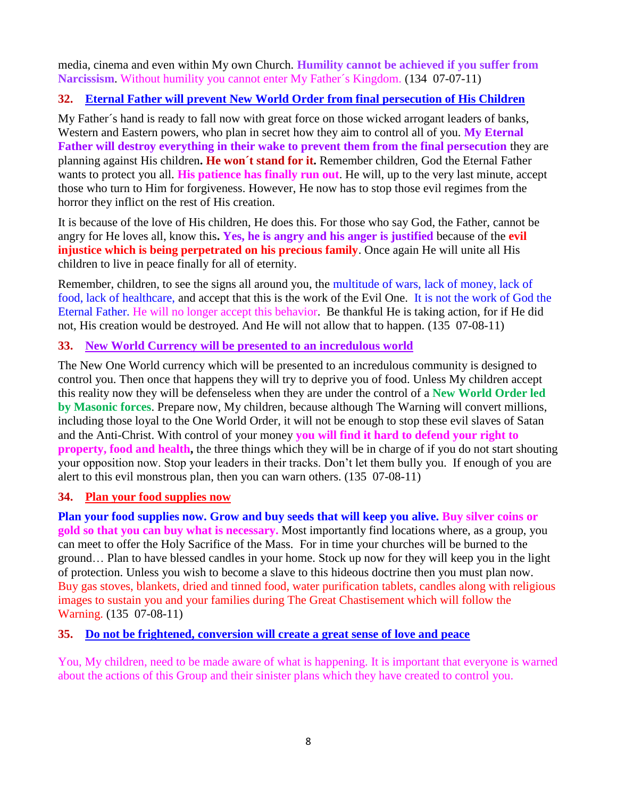media, cinema and even within My own Church. **Humility cannot be achieved if you suffer from Narcissism**. Without humility you cannot enter My Father´s Kingdom. (134 07-07-11)

## **32. [Eternal Father will prevent New World Order from final persecution of His Children](http://www.thewarningsecondcoming.com/eternal-father-will-prevent-new-world-order-from-final-persecution-of-his-children/)**

My Father´s hand is ready to fall now with great force on those wicked arrogant leaders of banks, Western and Eastern powers, who plan in secret how they aim to control all of you. **My Eternal Father will destroy everything in their wake to prevent them from the final persecution** they are planning against His children**. He won´t stand for it.** Remember children, God the Eternal Father wants to protect you all. **His patience has finally run out**. He will, up to the very last minute, accept those who turn to Him for forgiveness. However, He now has to stop those evil regimes from the horror they inflict on the rest of His creation.

It is because of the love of His children, He does this. For those who say God, the Father, cannot be angry for He loves all, know this**. Yes, he is angry and his anger is justified** because of the **evil injustice which is being perpetrated on his precious family**. Once again He will unite all His children to live in peace finally for all of eternity.

Remember, children, to see the signs all around you, the multitude of wars, lack of money, lack of food, lack of healthcare, and accept that this is the work of the Evil One. It is not the work of God the Eternal Father. He will no longer accept this behavior. Be thankful He is taking action, for if He did not, His creation would be destroyed. And He will not allow that to happen. (135 07-08-11)

## **33. New World Currency will be presented to an incredulous world**

The New One World currency which will be presented to an incredulous community is designed to control you. Then once that happens they will try to deprive you of food. Unless My children accept this reality now they will be defenseless when they are under the control of a **New World Order led by Masonic forces**. Prepare now, My children, because although The Warning will convert millions, including those loyal to the One World Order, it will not be enough to stop these evil slaves of Satan and the Anti-Christ. With control of your money **you will find it hard to defend your right to property, food and health,** the three things which they will be in charge of if you do not start shouting your opposition now. Stop your leaders in their tracks. Don't let them bully you. If enough of you are alert to this evil monstrous plan, then you can warn others. (135 07-08-11)

#### **34. Plan your food supplies now**

**Plan your food supplies now. Grow and buy seeds that will keep you alive. Buy silver coins or gold so that you can buy what is necessary.** Most importantly find locations where, as a group, you can meet to offer the Holy Sacrifice of the Mass. For in time your churches will be burned to the ground… Plan to have blessed candles in your home. Stock up now for they will keep you in the light of protection. Unless you wish to become a slave to this hideous doctrine then you must plan now. Buy gas stoves, blankets, dried and tinned food, water purification tablets, candles along with religious images to sustain you and your families during The Great Chastisement which will follow the Warning. (135 07-08-11)

#### **35. [Do not be frightened, conversion will create a great sense of love and peace](http://www.thewarningsecondcoming.com/do-not-be-frightened-conversion-will-create-a-great-sense-of-love-and-peace/)**

You, My children, need to be made aware of what is happening. It is important that everyone is warned about the actions of this Group and their sinister plans which they have created to control you.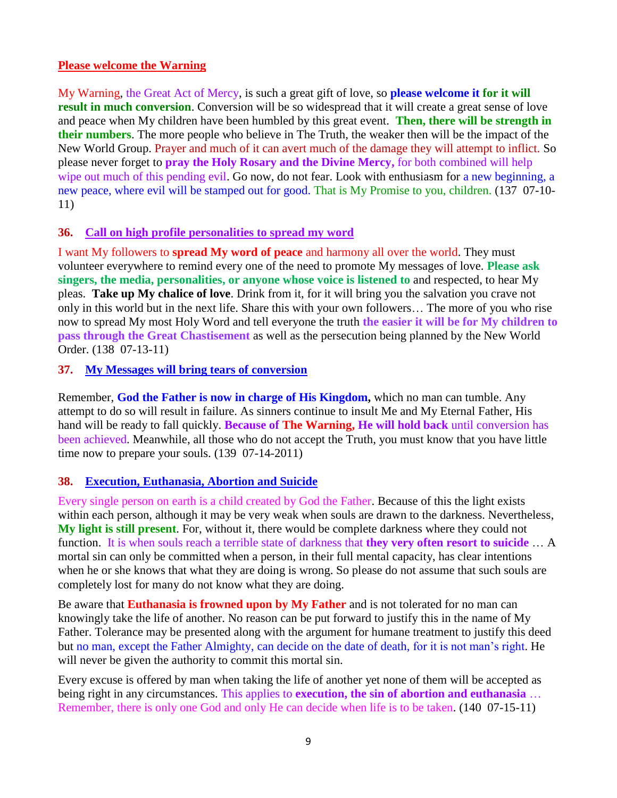#### **Please welcome the Warning**

My Warning, the Great Act of Mercy, is such a great gift of love, so **please welcome it for it will result in much conversion.** Conversion will be so widespread that it will create a great sense of love and peace when My children have been humbled by this great event. **Then, there will be strength in their numbers**. The more people who believe in The Truth, the weaker then will be the impact of the New World Group. Prayer and much of it can avert much of the damage they will attempt to inflict. So please never forget to **pray the Holy Rosary and the Divine Mercy,** for both combined will help wipe out much of this pending evil. Go now, do not fear. Look with enthusiasm for a new beginning, a new peace, where evil will be stamped out for good. That is My Promise to you, children. (137 07-10- 11)

#### **36. [Call on high profile personalities to spread my word](http://www.thewarningsecondcoming.com/call-on-high-profile-personalities-to-spread-my-word/)**

I want My followers to **spread My word of peace** and harmony all over the world. They must volunteer everywhere to remind every one of the need to promote My messages of love. **Please ask singers, the media, personalities, or anyone whose voice is listened to** and respected, to hear My pleas. **Take up My chalice of love**. Drink from it, for it will bring you the salvation you crave not only in this world but in the next life. Share this with your own followers… The more of you who rise now to spread My most Holy Word and tell everyone the truth **the easier it will be for My children to pass through the Great Chastisement** as well as the persecution being planned by the New World Order. (138 07-13-11)

#### **37. [My Messages will bring tears of conversion](http://www.thewarningsecondcoming.com/my-messages-will-bring-tears-of-conversion/)**

Remember, **God the Father is now in charge of His Kingdom,** which no man can tumble. Any attempt to do so will result in failure. As sinners continue to insult Me and My Eternal Father, His hand will be ready to fall quickly. **Because of The Warning, He will hold back** until conversion has been achieved. Meanwhile, all those who do not accept the Truth, you must know that you have little time now to prepare your souls. (139 07-14-2011)

#### **38. Execution, Euthanasia, Abortion and Suicide**

Every single person on earth is a child created by God the Father. Because of this the light exists within each person, although it may be very weak when souls are drawn to the darkness. Nevertheless, **My light is still present**. For, without it, there would be complete darkness where they could not function. It is when souls reach a terrible state of darkness that **they very often resort to suicide** … A mortal sin can only be committed when a person, in their full mental capacity, has clear intentions when he or she knows that what they are doing is wrong. So please do not assume that such souls are completely lost for many do not know what they are doing.

Be aware that **Euthanasia is frowned upon by My Father** and is not tolerated for no man can knowingly take the life of another. No reason can be put forward to justify this in the name of My Father. Tolerance may be presented along with the argument for humane treatment to justify this deed but no man, except the Father Almighty, can decide on the date of death, for it is not man's right. He will never be given the authority to commit this mortal sin.

Every excuse is offered by man when taking the life of another yet none of them will be accepted as being right in any circumstances. This applies to **execution, the sin of abortion and euthanasia** … Remember, there is only one God and only He can decide when life is to be taken. (140 07-15-11)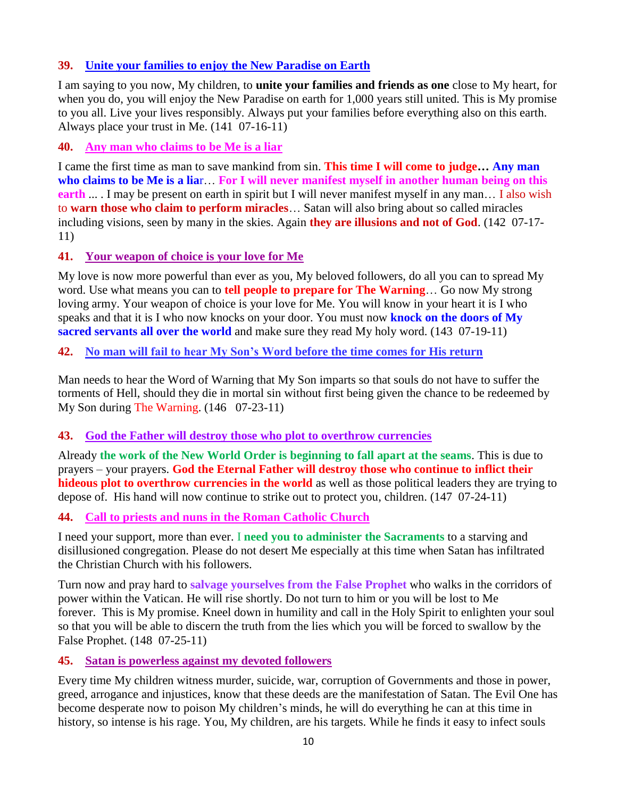## **39. [Unite your families to enjoy the New Paradise on Earth](http://www.thewarningsecondcoming.com/unite-your-families-to-enjoy-the-new-paradise-on-earth/)**

I am saying to you now, My children, to **unite your families and friends as one** close to My heart, for when you do, you will enjoy the New Paradise on earth for 1,000 years still united. This is My promise to you all. Live your lives responsibly. Always put your families before everything also on this earth. Always place your trust in Me. (141 07-16-11)

#### **40. [Any man who claims to be Me is a liar](http://www.thewarningsecondcoming.com/any-man-who-claims-to-be-me-is-a-liar-for-i-will-never-manifest-myself-in-man/)**

I came the first time as man to save mankind from sin. **This time I will come to judge… Any man who claims to be Me is a lia**r… **For I will never manifest myself in another human being on this earth** ... I may be present on earth in spirit but I will never manifest myself in any man... I also wish to **warn those who claim to perform miracles**… Satan will also bring about so called miracles including visions, seen by many in the skies. Again **they are illusions and not of God**. (142 07-17- 11)

#### **41. [Your weapon of choice is your love for Me](http://www.thewarningsecondcoming.com/your-weapon-of-choice-is-your-love-for-me/)**

My love is now more powerful than ever as you, My beloved followers, do all you can to spread My word. Use what means you can to **tell people to prepare for The Warning**… Go now My strong loving army. Your weapon of choice is your love for Me. You will know in your heart it is I who speaks and that it is I who now knocks on your door. You must now **knock on the doors of My sacred servants all over the world** and make sure they read My holy word. (143 07-19-11)

## **42. No man will [fail to hear My Son's Word before the time comes for His return](http://www.thewarningsecondcoming.com/no-man-will-fail-to-hear-my-sons-word-before-the-time-comes-for-his-return/)**

Man needs to hear the Word of Warning that My Son imparts so that souls do not have to suffer the torments of Hell, should they die in mortal sin without first being given the chance to be redeemed by My Son during The Warning. (146 07-23-11)

#### **43. [God the Father will destroy those who plot to overthrow currencies](http://www.thewarningsecondcoming.com/god-the-father-will-destroy-the-plot-to-overthrow-currencies/)**

Already **the work of the New World Order is beginning to fall apart at the seams**. This is due to prayers – your prayers. **God the Eternal Father will destroy those who continue to inflict their hideous plot to overthrow currencies in the world** as well as those political leaders they are trying to depose of. His hand will now continue to strike out to protect you, children. (147 07-24-11)

#### **44. [Call to priests and nuns in the Roman Catholic Church](http://www.thewarningsecondcoming.com/call-to-priests-and-nuns-in-the-roman-catholic-church/)**

I need your support, more than ever. I **need you to administer the Sacraments** to a starving and disillusioned congregation. Please do not desert Me especially at this time when Satan has infiltrated the Christian Church with his followers.

Turn now and pray hard to **salvage yourselves from the False Prophet** who walks in the corridors of power within the Vatican. He will rise shortly. Do not turn to him or you will be lost to Me forever. This is My promise. Kneel down in humility and call in the Holy Spirit to enlighten your soul so that you will be able to discern the truth from the lies which you will be forced to swallow by the False Prophet. (148 07-25-11)

# **45. [Satan is powerless against my devoted followers](http://www.thewarningsecondcoming.com/satan-is-powerless-against-my-devoted-followers/)**

Every time My children witness murder, suicide, war, corruption of Governments and those in power, greed, arrogance and injustices, know that these deeds are the manifestation of Satan. The Evil One has become desperate now to poison My children's minds, he will do everything he can at this time in history, so intense is his rage. You, My children, are his targets. While he finds it easy to infect souls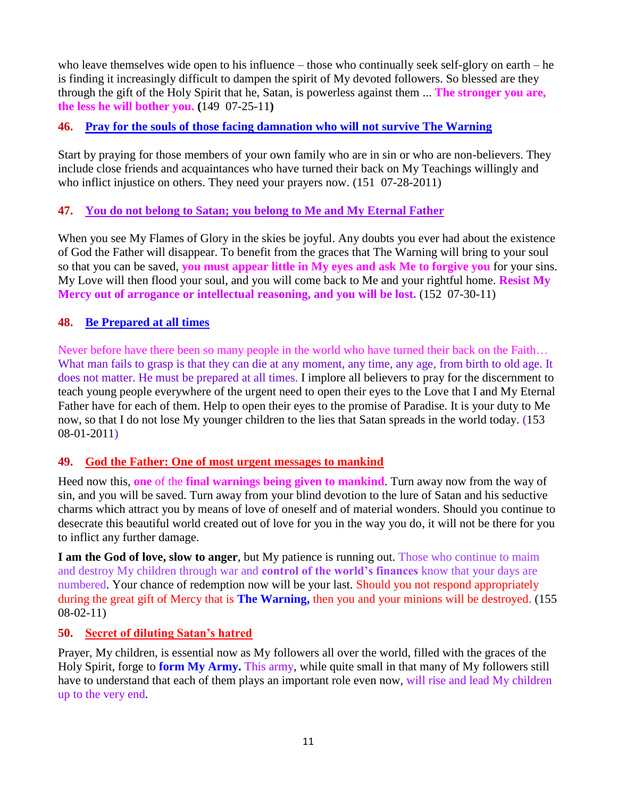who leave themselves wide open to his influence – those who continually seek self-glory on earth – he is finding it increasingly difficult to dampen the spirit of My devoted followers. So blessed are they through the gift of the Holy Spirit that he, Satan, is powerless against them ... **The stronger you are, the less he will bother you. (**149 07-25-11**)**

## **46. [Pray for the souls of those facing damnation who will not survive The Warning](http://www.thewarningsecondcoming.com/pray-for-the-souls-of-the-damned-who-will-not-survive-the-warning/)**

Start by praying for those members of your own family who are in sin or who are non-believers. They include close friends and acquaintances who have turned their back on My Teachings willingly and who inflict injustice on others. They need your prayers now. (151 07-28-2011)

## **47. [You do not belong to Satan; you belong to Me and My Eternal Father](http://www.thewarningsecondcoming.com/you-do-not-belong-to-satan-you-belong-to-me-and-my-eternal-father/)**

When you see My Flames of Glory in the skies be joyful. Any doubts you ever had about the existence of God the Father will disappear. To benefit from the graces that The Warning will bring to your soul so that you can be saved, **you must appear little in My eyes and ask Me to forgive you** for your sins. My Love will then flood your soul, and you will come back to Me and your rightful home. **Resist My Mercy out of arrogance or intellectual reasoning, and you will be lost.** (152 07-30-11)

#### **48. [Be Prepared at all times](http://www.thewarningsecondcoming.com/be-prepared-at-all-times/)**

Never before have there been so many people in the world who have turned their back on the Faith… What man fails to grasp is that they can die at any moment, any time, any age, from birth to old age. It does not matter. He must be prepared at all times. I implore all believers to pray for the discernment to teach young people everywhere of the urgent need to open their eyes to the Love that I and My Eternal Father have for each of them. Help to open their eyes to the promise of Paradise. It is your duty to Me now, so that I do not lose My younger children to the lies that Satan spreads in the world today. (153 08-01-2011)

#### **49. God the Father: [One of most urgent messages to mankind](http://www.thewarningsecondcoming.com/god-the-father-one-most-urgent-message-to-mankind/)**

Heed now this, **one** of the **final warnings being given to mankind**. Turn away now from the way of sin, and you will be saved. Turn away from your blind devotion to the lure of Satan and his seductive charms which attract you by means of love of oneself and of material wonders. Should you continue to desecrate this beautiful world created out of love for you in the way you do, it will not be there for you to inflict any further damage.

**I am the God of love, slow to anger**, but My patience is running out. Those who continue to maim and destroy My children through war and **control of the world's finances** know that your days are numbered. Your chance of redemption now will be your last. Should you not respond appropriately during the great gift of Mercy that is **The Warning,** then you and your minions will be destroyed. (155 08-02-11)

#### **50. Secret of diluting Satan's hatred**

Prayer, My children, is essential now as My followers all over the world, filled with the graces of the Holy Spirit, forge to **form My Army.** This army, while quite small in that many of My followers still have to understand that each of them plays an important role even now, will rise and lead My children up to the very end.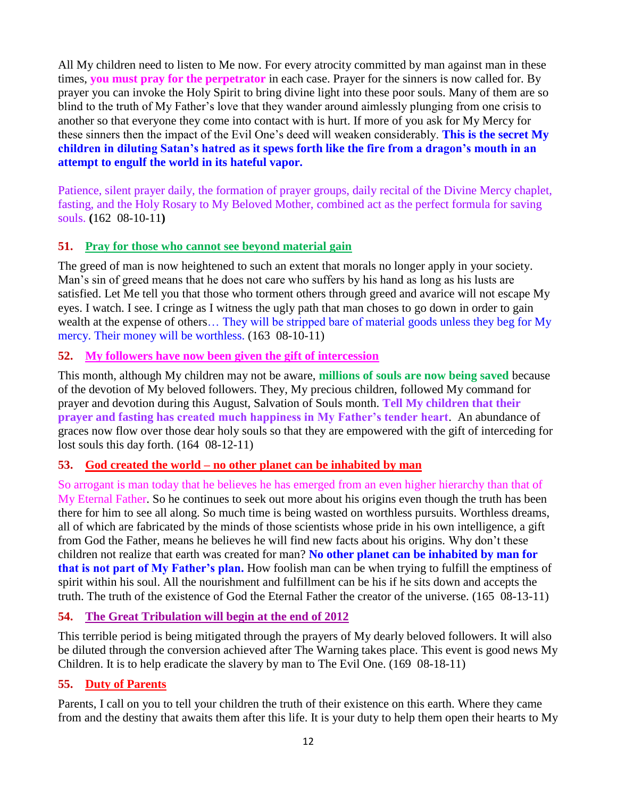All My children need to listen to Me now. For every atrocity committed by man against man in these times, **you must pray for the perpetrator** in each case. Prayer for the sinners is now called for. By prayer you can invoke the Holy Spirit to bring divine light into these poor souls. Many of them are so blind to the truth of My Father's love that they wander around aimlessly plunging from one crisis to another so that everyone they come into contact with is hurt. If more of you ask for My Mercy for these sinners then the impact of the Evil One's deed will weaken considerably. **This is the secret My children in diluting Satan's hatred as it spews forth like the fire from a dragon's mouth in an attempt to engulf the world in its hateful vapor.**

Patience, silent prayer daily, the formation of prayer groups, daily recital of the Divine Mercy chaplet, fasting, and the Holy Rosary to My Beloved Mother, combined act as the perfect formula for saving souls. **(**162 08-10-11**)**

## **51. [Pray for those who cannot see beyond material gain](http://www.thewarningsecondcoming.com/pray-for-those-who-cannot-see-beyond-material-gain/)**

The greed of man is now heightened to such an extent that morals no longer apply in your society. Man's sin of greed means that he does not care who suffers by his hand as long as his lusts are satisfied. Let Me tell you that those who torment others through greed and avarice will not escape My eyes. I watch. I see. I cringe as I witness the ugly path that man choses to go down in order to gain wealth at the expense of others… They will be stripped bare of material goods unless they beg for My mercy. Their money will be worthless. (163 08-10-11)

## **52. [My followers have now been given the gift of intercession](http://www.thewarningsecondcoming.com/my-followers-have-now-been-given-the-gift-of-intercession/)**

This month, although My children may not be aware, **millions of souls are now being saved** because of the devotion of My beloved followers. They, My precious children, followed My command for prayer and devotion during this August, Salvation of Souls month. **Tell My children that their prayer and fasting has created much happiness in My Father's tender heart**. An abundance of graces now flow over those dear holy souls so that they are empowered with the gift of interceding for lost souls this day forth.  $(164 \ 08-12-11)$ 

# **53. God created the world – [no other planet can be inhabited by man](http://www.thewarningsecondcoming.com/god-created-the-world-no-other-planet-can-be-inhabited-by-man/)**

So arrogant is man today that he believes he has emerged from an even higher hierarchy than that of My Eternal Father. So he continues to seek out more about his origins even though the truth has been there for him to see all along. So much time is being wasted on worthless pursuits. Worthless dreams, all of which are fabricated by the minds of those scientists whose pride in his own intelligence, a gift from God the Father, means he believes he will find new facts about his origins. Why don't these children not realize that earth was created for man? **No other planet can be inhabited by man for that is not part of My Father's plan.** How foolish man can be when trying to fulfill the emptiness of spirit within his soul. All the nourishment and fulfillment can be his if he sits down and accepts the truth. The truth of the existence of God the Eternal Father the creator of the universe. (165 08-13-11)

# **54. The Great Tribulation will begin at the end of 2012**

This terrible period is being mitigated through the prayers of My dearly beloved followers. It will also be diluted through the conversion achieved after The Warning takes place. This event is good news My Children. It is to help eradicate the slavery by man to The Evil One. (169 08-18-11)

#### **55. Duty of Parents**

Parents, I call on you to tell your children the truth of their existence on this earth. Where they came from and the destiny that awaits them after this life. It is your duty to help them open their hearts to My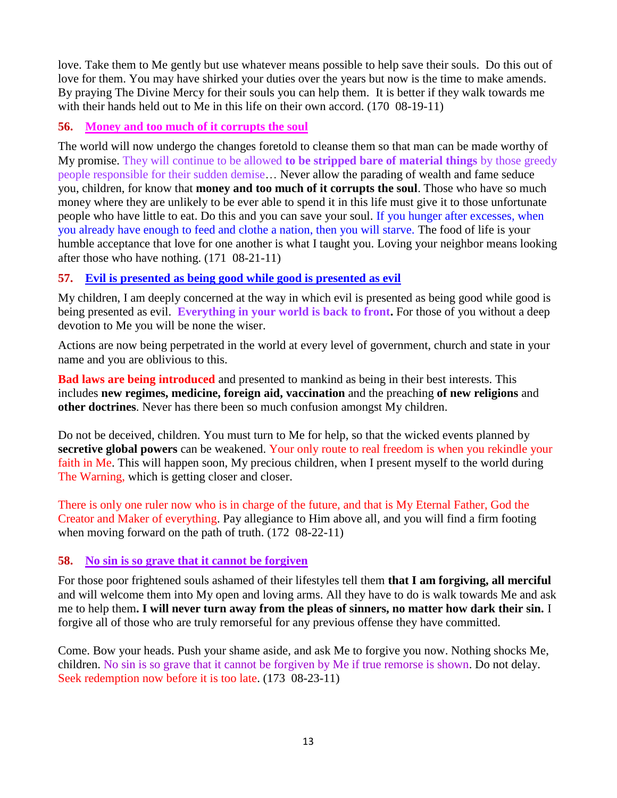love. Take them to Me gently but use whatever means possible to help save their souls. Do this out of love for them. You may have shirked your duties over the years but now is the time to make amends. By praying The Divine Mercy for their souls you can help them. It is better if they walk towards me with their hands held out to Me in this life on their own accord. (170 08-19-11)

#### **56. [Money and too much of it corrupts the soul](http://www.thewarningsecondcoming.com/money-and-too-much-of-it-corrupts-the-soul/)**

The world will now undergo the changes foretold to cleanse them so that man can be made worthy of My promise. They will continue to be allowed **to be stripped bare of material things** by those greedy people responsible for their sudden demise… Never allow the parading of wealth and fame seduce you, children, for know that **money and too much of it corrupts the soul**. Those who have so much money where they are unlikely to be ever able to spend it in this life must give it to those unfortunate people who have little to eat. Do this and you can save your soul. If you hunger after excesses, when you already have enough to feed and clothe a nation, then you will starve. The food of life is your humble acceptance that love for one another is what I taught you. Loving your neighbor means looking after those who have nothing. (171 08-21-11)

#### **57. [Evil is presented as being good while good is presented as evil](http://www.thewarningsecondcoming.com/evil-is-presented-as-being-good-while-good-is-presented-as-evil/)**

My children, I am deeply concerned at the way in which evil is presented as being good while good is being presented as evil. **Everything in your world is back to front.** For those of you without a deep devotion to Me you will be none the wiser.

Actions are now being perpetrated in the world at every level of government, church and state in your name and you are oblivious to this.

**Bad laws are being introduced** and presented to mankind as being in their best interests. This includes **new regimes, medicine, foreign aid, vaccination** and the preaching **of new religions** and **other doctrines**. Never has there been so much confusion amongst My children.

Do not be deceived, children. You must turn to Me for help, so that the wicked events planned by **secretive global powers** can be weakened. Your only route to real freedom is when you rekindle your faith in Me. This will happen soon, My precious children, when I present myself to the world during The Warning, which is getting closer and closer.

There is only one ruler now who is in charge of the future, and that is My Eternal Father, God the Creator and Maker of everything. Pay allegiance to Him above all, and you will find a firm footing when moving forward on the path of truth. (172 08-22-11)

#### **58. [No sin is so grave that it cannot be forgiven](http://www.thewarningsecondcoming.com/no-sin-is-so-grave-that-it-cannot-be-forgiven/)**

For those poor frightened souls ashamed of their lifestyles tell them **that I am forgiving, all merciful** and will welcome them into My open and loving arms. All they have to do is walk towards Me and ask me to help them**. I will never turn away from the pleas of sinners, no matter how dark their sin.** I forgive all of those who are truly remorseful for any previous offense they have committed.

Come. Bow your heads. Push your shame aside, and ask Me to forgive you now. Nothing shocks Me, children. No sin is so grave that it cannot be forgiven by Me if true remorse is shown. Do not delay. Seek redemption now before it is too late. (173 08-23-11)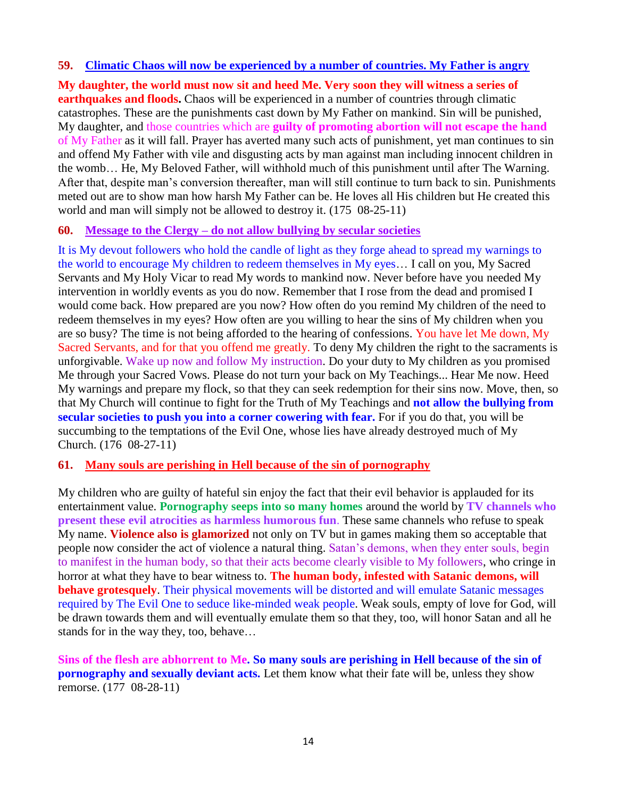#### **59. [Climatic Chaos will now be experienced by a number of countries. My Father is angry](http://www.thewarningsecondcoming.com/climatic-chaos-will-now-be-experienced-by-a-number-of-countries-my-father-is-angry/)**

**My daughter, the world must now sit and heed Me. Very soon they will witness a series of earthquakes and floods.** Chaos will be experienced in a number of countries through climatic catastrophes. These are the punishments cast down by My Father on mankind. Sin will be punished, My daughter, and those countries which are **guilty of promoting abortion will not escape the hand** of My Father as it will fall. Prayer has averted many such acts of punishment, yet man continues to sin and offend My Father with vile and disgusting acts by man against man including innocent children in the womb… He, My Beloved Father, will withhold much of this punishment until after The Warning. After that, despite man's conversion thereafter, man will still continue to turn back to sin. Punishments meted out are to show man how harsh My Father can be. He loves all His children but He created this world and man will simply not be allowed to destroy it. (175 08-25-11)

#### **60. Message to the Clergy – [do not allow bullying by secular societies](http://www.thewarningsecondcoming.com/message-to-the-clergy-do-not-allow-bullying-by-secular-societies/)**

It is My devout followers who hold the candle of light as they forge ahead to spread my warnings to the world to encourage My children to redeem themselves in My eyes… I call on you, My Sacred Servants and My Holy Vicar to read My words to mankind now. Never before have you needed My intervention in worldly events as you do now. Remember that I rose from the dead and promised I would come back. How prepared are you now? How often do you remind My children of the need to redeem themselves in my eyes? How often are you willing to hear the sins of My children when you are so busy? The time is not being afforded to the hearing of confessions. You have let Me down, My Sacred Servants, and for that you offend me greatly. To deny My children the right to the sacraments is unforgivable. Wake up now and follow My instruction. Do your duty to My children as you promised Me through your Sacred Vows. Please do not turn your back on My Teachings... Hear Me now. Heed My warnings and prepare my flock, so that they can seek redemption for their sins now. Move, then, so that My Church will continue to fight for the Truth of My Teachings and **not allow the bullying from secular societies to push you into a corner cowering with fear.** For if you do that, you will be succumbing to the temptations of the Evil One, whose lies have already destroyed much of My Church. (176 08-27-11)

#### **61. [Many souls are perishing in Hell because of the sin of pornography](http://www.thewarningsecondcoming.com/many-souls-are-perishing-in-hell-because-of-the-sin-of-pornography/)**

My children who are guilty of hateful sin enjoy the fact that their evil behavior is applauded for its entertainment value. **Pornography seeps into so many homes** around the world by **TV channels who present these evil atrocities as harmless humorous fun**. These same channels who refuse to speak My name. **Violence also is glamorized** not only on TV but in games making them so acceptable that people now consider the act of violence a natural thing. Satan's demons, when they enter souls, begin to manifest in the human body, so that their acts become clearly visible to My followers, who cringe in horror at what they have to bear witness to. **The human body, infested with Satanic demons, will behave grotesquely**. Their physical movements will be distorted and will emulate Satanic messages required by The Evil One to seduce like-minded weak people. Weak souls, empty of love for God, will be drawn towards them and will eventually emulate them so that they, too, will honor Satan and all he stands for in the way they, too, behave…

**Sins of the flesh are abhorrent to Me. So many souls are perishing in Hell because of the sin of pornography and sexually deviant acts.** Let them know what their fate will be, unless they show remorse. (177 08-28-11)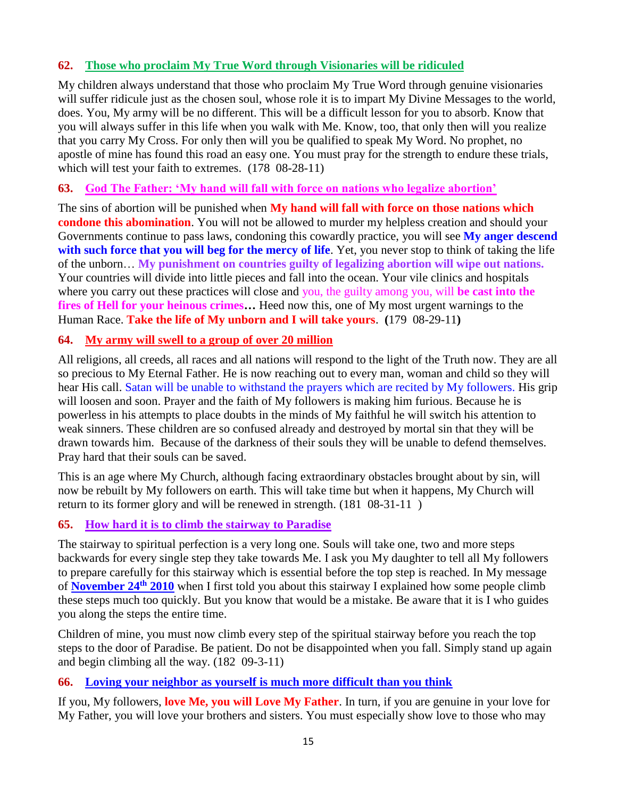## **62. [Those who proclaim My True Word through Visionaries will be ridiculed](http://www.thewarningsecondcoming.com/those-who-proclaim-my-true-word-through-visionaries-will-be-ridiculed-3/)**

My children always understand that those who proclaim My True Word through genuine visionaries will suffer ridicule just as the chosen soul, whose role it is to impart My Divine Messages to the world, does. You, My army will be no different. This will be a difficult lesson for you to absorb. Know that you will always suffer in this life when you walk with Me. Know, too, that only then will you realize that you carry My Cross. For only then will you be qualified to speak My Word. No prophet, no apostle of mine has found this road an easy one. You must pray for the strength to endure these trials, which will test your faith to extremes.  $(178 \t 08-28-11)$ 

## **63. [God The Father: 'My hand will fall with force on nations who legalize abortion'](http://www.thewarningsecondcoming.com/god-the-father-my-hand-will-fall-with-force-on-nations-who-legalise-abortion/)**

The sins of abortion will be punished when **My hand will fall with force on those nations which condone this abomination**. You will not be allowed to murder my helpless creation and should your Governments continue to pass laws, condoning this cowardly practice, you will see **My anger descend with such force that you will beg for the mercy of life**. Yet, you never stop to think of taking the life of the unborn… **My punishment on countries guilty of legalizing abortion will wipe out nations.** Your countries will divide into little pieces and fall into the ocean. Your vile clinics and hospitals where you carry out these practices will close and you, the guilty among you, will **be cast into the fires of Hell for your heinous crimes…** Heed now this, one of My most urgent warnings to the Human Race. **Take the life of My unborn and I will take yours**. **(**179 08-29-11**)**

## **64. [My army will swell to a group of over 20 million](http://www.thewarningsecondcoming.com/my-army-will-swell-to-a-group-of-over-20-million/)**

All religions, all creeds, all races and all nations will respond to the light of the Truth now. They are all so precious to My Eternal Father. He is now reaching out to every man, woman and child so they will hear His call. Satan will be unable to withstand the prayers which are recited by My followers. His grip will loosen and soon. Prayer and the faith of My followers is making him furious. Because he is powerless in his attempts to place doubts in the minds of My faithful he will switch his attention to weak sinners. These children are so confused already and destroyed by mortal sin that they will be drawn towards him. Because of the darkness of their souls they will be unable to defend themselves. Pray hard that their souls can be saved.

This is an age where My Church, although facing extraordinary obstacles brought about by sin, will now be rebuilt by My followers on earth. This will take time but when it happens, My Church will return to its former glory and will be renewed in strength. (181 08-31-11 )

#### **65. [How hard it is to climb the stairway to Paradise](http://www.thewarningsecondcoming.com/how-hard-it-is-to-climb-the-stairway-to-paradise/)**

The stairway to spiritual perfection is a very long one. Souls will take one, two and more steps backwards for every single step they take towards Me. I ask you My daughter to tell all My followers to prepare carefully for this stairway which is essential before the top step is reached. In My message of **[November 24](http://www.thewarningsecondcoming.com/stairway-to-spiritual-perfection/)th 2010** when I first told you about this stairway I explained how some people climb these steps much too quickly. But you know that would be a mistake. Be aware that it is I who guides you along the steps the entire time.

Children of mine, you must now climb every step of the spiritual stairway before you reach the top steps to the door of Paradise. Be patient. Do not be disappointed when you fall. Simply stand up again and begin climbing all the way. (182 09-3-11)

#### **66. [Loving your neighbor as yourself is much more difficult than you think](http://www.thewarningsecondcoming.com/loving-your-neighbour-as-yourself-is-much-more-difficult-than-you-think/)**

If you, My followers, **love Me, you will Love My Father**. In turn, if you are genuine in your love for My Father, you will love your brothers and sisters. You must especially show love to those who may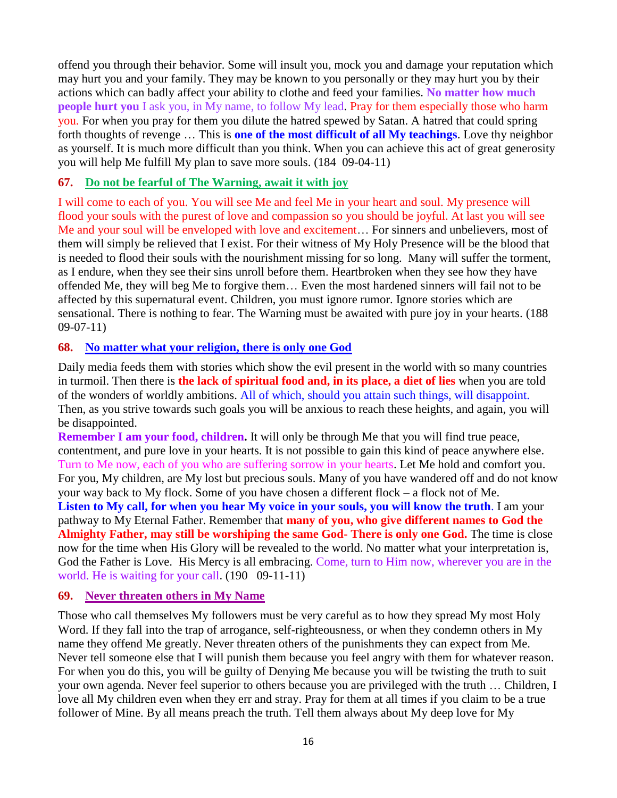offend you through their behavior. Some will insult you, mock you and damage your reputation which may hurt you and your family. They may be known to you personally or they may hurt you by their actions which can badly affect your ability to clothe and feed your families. **No matter how much people hurt you** I ask you, in My name, to follow My lead. Pray for them especially those who harm you. For when you pray for them you dilute the hatred spewed by Satan. A hatred that could spring forth thoughts of revenge … This is **one of the most difficult of all My teachings**. Love thy neighbor as yourself. It is much more difficult than you think. When you can achieve this act of great generosity you will help Me fulfill My plan to save more souls. (184 09-04-11)

#### **67. [Do not be fearful of The Warning, await it with joy](http://www.thewarningsecondcoming.com/do-not-be-fearful-of-the-warning-await-it-with-joy/)**

I will come to each of you. You will see Me and feel Me in your heart and soul. My presence will flood your souls with the purest of love and compassion so you should be joyful. At last you will see Me and your soul will be enveloped with love and excitement… For sinners and unbelievers, most of them will simply be relieved that I exist. For their witness of My Holy Presence will be the blood that is needed to flood their souls with the nourishment missing for so long. Many will suffer the torment, as I endure, when they see their sins unroll before them. Heartbroken when they see how they have offended Me, they will beg Me to forgive them… Even the most hardened sinners will fail not to be affected by this supernatural event. Children, you must ignore rumor. Ignore stories which are sensational. There is nothing to fear. The Warning must be awaited with pure joy in your hearts. (188 09-07-11)

#### **68. [No matter what your religion, there is only one God](http://www.thewarningsecondcoming.com/no-matter-what-your-religion-there-is-only-one-god/)**

Daily media feeds them with stories which show the evil present in the world with so many countries in turmoil. Then there is **the lack of spiritual food and, in its place, a diet of lies** when you are told of the wonders of worldly ambitions. All of which, should you attain such things, will disappoint. Then, as you strive towards such goals you will be anxious to reach these heights, and again, you will be disappointed.

**Remember I am your food, children.** It will only be through Me that you will find true peace, contentment, and pure love in your hearts. It is not possible to gain this kind of peace anywhere else. Turn to Me now, each of you who are suffering sorrow in your hearts. Let Me hold and comfort you. For you, My children, are My lost but precious souls. Many of you have wandered off and do not know your way back to My flock. Some of you have chosen a different flock – a flock not of Me. **Listen to My call, for when you hear My voice in your souls, you will know the truth**. I am your pathway to My Eternal Father. Remember that **many of you, who give different names to God the Almighty Father, may still be worshiping the same God- There is only one God.** The time is close now for the time when His Glory will be revealed to the world. No matter what your interpretation is, God the Father is Love. His Mercy is all embracing. Come, turn to Him now, wherever you are in the world. He is waiting for your call. (190 09-11-11)

#### **69. [Never threaten others in My Name](http://www.thewarningsecondcoming.com/never-threaten-others-in-my-name/)**

Those who call themselves My followers must be very careful as to how they spread My most Holy Word. If they fall into the trap of arrogance, self-righteousness, or when they condemn others in My name they offend Me greatly. Never threaten others of the punishments they can expect from Me. Never tell someone else that I will punish them because you feel angry with them for whatever reason. For when you do this, you will be guilty of Denying Me because you will be twisting the truth to suit your own agenda. Never feel superior to others because you are privileged with the truth … Children, I love all My children even when they err and stray. Pray for them at all times if you claim to be a true follower of Mine. By all means preach the truth. Tell them always about My deep love for My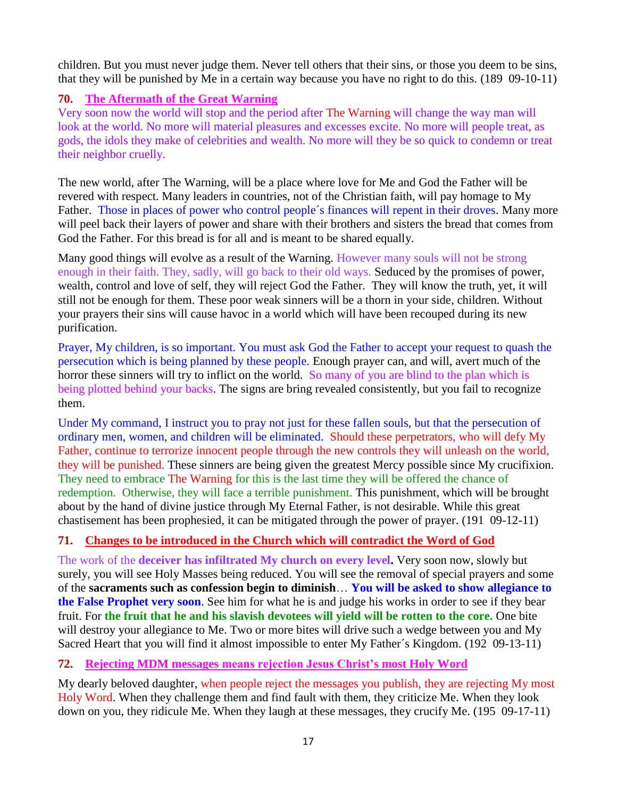children. But you must never judge them. Never tell others that their sins, or those you deem to be sins, that they will be punished by Me in a certain way because you have no right to do this. (189 09-10-11)

## **70. The Aftermath of the Great Warning**

Very soon now the world will stop and the period after The Warning will change the way man will look at the world. No more will material pleasures and excesses excite. No more will people treat, as gods, the idols they make of celebrities and wealth. No more will they be so quick to condemn or treat their neighbor cruelly.

The new world, after The Warning, will be a place where love for Me and God the Father will be revered with respect. Many leaders in countries, not of the Christian faith, will pay homage to My Father. Those in places of power who control people´s finances will repent in their droves. Many more will peel back their layers of power and share with their brothers and sisters the bread that comes from God the Father. For this bread is for all and is meant to be shared equally.

Many good things will evolve as a result of the Warning. However many souls will not be strong enough in their faith. They, sadly, will go back to their old ways. Seduced by the promises of power, wealth, control and love of self, they will reject God the Father. They will know the truth, yet, it will still not be enough for them. These poor weak sinners will be a thorn in your side, children. Without your prayers their sins will cause havoc in a world which will have been recouped during its new purification.

Prayer, My children, is so important. You must ask God the Father to accept your request to quash the persecution which is being planned by these people. Enough prayer can, and will, avert much of the horror these sinners will try to inflict on the world. So many of you are blind to the plan which is being plotted behind your backs. The signs are bring revealed consistently, but you fail to recognize them.

Under My command, I instruct you to pray not just for these fallen souls, but that the persecution of ordinary men, women, and children will be eliminated. Should these perpetrators, who will defy My Father, continue to terrorize innocent people through the new controls they will unleash on the world, they will be punished. These sinners are being given the greatest Mercy possible since My crucifixion. They need to embrace The Warning for this is the last time they will be offered the chance of redemption. Otherwise, they will face a terrible punishment. This punishment, which will be brought about by the hand of divine justice through My Eternal Father, is not desirable. While this great chastisement has been prophesied, it can be mitigated through the power of prayer. (191 09-12-11)

# **71. [Changes to be introduced in the Church which will contradict the Word of God](http://www.thewarningsecondcoming.com/changes-to-be-introduced-in-the-church-which-will-contradict-the-word-of-god/)**

The work of the **deceiver has infiltrated My church on every level.** Very soon now, slowly but surely, you will see Holy Masses being reduced. You will see the removal of special prayers and some of the **sacraments such as confession begin to diminish**… **You will be asked to show allegiance to the False Prophet very soon**. See him for what he is and judge his works in order to see if they bear fruit. For **the fruit that he and his slavish devotees will yield will be rotten to the core.** One bite will destroy your allegiance to Me. Two or more bites will drive such a wedge between you and My Sacred Heart that you will find it almost impossible to enter My Father´s Kingdom. (192 09-13-11)

# **72. Rejecting MDM messages means rejection Jesus Christ's most Holy Word**

My dearly beloved daughter, when people reject the messages you publish, they are rejecting My most Holy Word. When they challenge them and find fault with them, they criticize Me. When they look down on you, they ridicule Me. When they laugh at these messages, they crucify Me. (195 09-17-11)